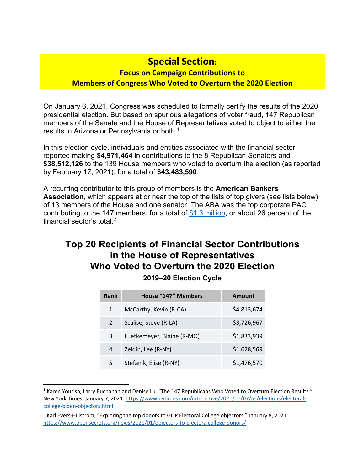## **Special Section:**

#### **Focus on Campaign Contributions to Members of Congress Who Voted to Overturn the 2020 Election**

On January 6, 2021, Congress was scheduled to formally certify the results of the 2020 presidential election. But based on spurious allegations of voter fraud, 147 Republican members of the Senate and the House of Representatives voted to object to either the results in Arizona or Pennsylvania or both.1

In this election cycle, individuals and entities associated with the financial sector reported making **\$4,971,464** in contributions to the 8 Republican Senators and **\$38,512,126** to the 139 House members who voted to overturn the election (as reported by February 17, 2021), for a total of **\$43,483,590**.

A recurring contributor to this group of members is the **American Bankers Association**, which appears at or near the top of the lists of top givers (see lists below) of 13 members of the House and one senator. The ABA was the top corporate PAC contributing to the 147 members, for a total of \$1.3 million, or about 26 percent of the financial sector's total. 2

## **Top 20 Recipients of Financial Sector Contributions in the House of Representatives Who Voted to Overturn the 2020 Election**

#### **2019–20 Election Cycle**

| Rank          | <b>House "147" Members</b> | <b>Amount</b> |
|---------------|----------------------------|---------------|
| 1             | McCarthy, Kevin (R-CA)     | \$4,813,674   |
| $\mathcal{P}$ | Scalise, Steve (R-LA)      | \$3,726,967   |
| 3             | Luetkemeyer, Blaine (R-MO) | \$1,833,939   |
| 4             | Zeldin, Lee (R-NY)         | \$1,628,569   |
| 5             | Stefanik, Elise (R-NY)     | \$1,476,570   |

<sup>&</sup>lt;sup>1</sup> Karen Yourish, Larry Buchanan and Denise Lu, "The 147 Republicans Who Voted to Overturn Election Results," New York Times, January 7, 2021. https://www.nytimes.com/interactive/2021/01/07/us/elections/electoralcollege-biden-objectors.html

<sup>&</sup>lt;sup>2</sup> Karl Evers-Hillstrom, "Exploring the top donors to GOP Electoral College objectors," January 8, 2021. https://www.opensecrets.org/news/2021/01/objectors-to-electoralcollege-donors/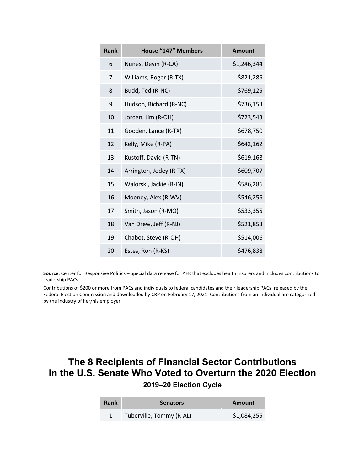| Rank | <b>House "147" Members</b> | <b>Amount</b> |
|------|----------------------------|---------------|
| 6    | Nunes, Devin (R-CA)        | \$1,246,344   |
| 7    | Williams, Roger (R-TX)     | \$821,286     |
| 8    | Budd, Ted (R-NC)           | \$769,125     |
| 9    | Hudson, Richard (R-NC)     | \$736,153     |
| 10   | Jordan, Jim (R-OH)         | \$723,543     |
| 11   | Gooden, Lance (R-TX)       | \$678,750     |
| 12   | Kelly, Mike (R-PA)         | \$642,162     |
| 13   | Kustoff, David (R-TN)      | \$619,168     |
| 14   | Arrington, Jodey (R-TX)    | \$609,707     |
| 15   | Walorski, Jackie (R-IN)    | \$586,286     |
| 16   | Mooney, Alex (R-WV)        | \$546,256     |
| 17   | Smith, Jason (R-MO)        | \$533,355     |
| 18   | Van Drew, Jeff (R-NJ)      | \$521,853     |
| 19   | Chabot, Steve (R-OH)       | \$514,006     |
| 20   | Estes, Ron (R-KS)          | \$476,838     |

**Source**: Center for Responsive Politics – Special data release for AFR that excludes health insurers and includes contributions to leadership PACs.

Contributions of \$200 or more from PACs and individuals to federal candidates and their leadership PACs, released by the Federal Election Commission and downloaded by CRP on February 17, 2021. Contributions from an individual are categorized by the industry of her/his employer.

### **The 8 Recipients of Financial Sector Contributions in the U.S. Senate Who Voted to Overturn the 2020 Election 2019–20 Election Cycle**

| Rank | <b>Senators</b>          | Amount      |
|------|--------------------------|-------------|
|      | Tuberville, Tommy (R-AL) | \$1,084,255 |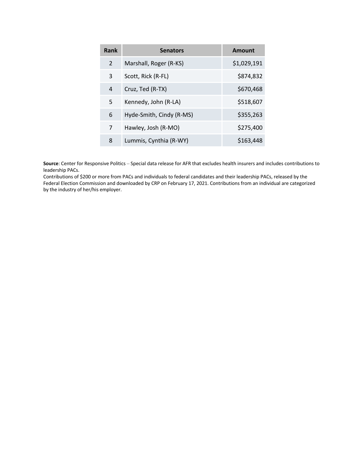| <b>Rank</b>   | <b>Senators</b>          | <b>Amount</b> |
|---------------|--------------------------|---------------|
| $\mathcal{P}$ | Marshall, Roger (R-KS)   | \$1,029,191   |
| 3             | Scott, Rick (R-FL)       | \$874,832     |
| 4             | Cruz, Ted (R-TX)         | \$670,468     |
| 5             | Kennedy, John (R-LA)     | \$518,607     |
| 6             | Hyde-Smith, Cindy (R-MS) | \$355,263     |
| 7             | Hawley, Josh (R-MO)      | \$275,400     |
| 8             | Lummis, Cynthia (R-WY)   | \$163,448     |

**Source**: Center for Responsive Politics – Special data release for AFR that excludes health insurers and includes contributions to leadership PACs.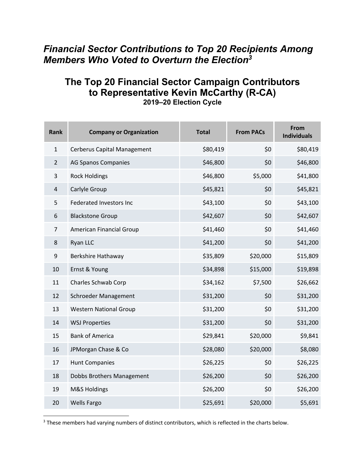## *Financial Sector Contributions to Top 20 Recipients Among Members Who Voted to Overturn the Election3*

# **The Top 20 Financial Sector Campaign Contributors to Representative Kevin McCarthy (R-CA)**

| Rank           | <b>Company or Organization</b>     | <b>Total</b> | <b>From PACs</b> | From<br><b>Individuals</b> |
|----------------|------------------------------------|--------------|------------------|----------------------------|
| $\mathbf{1}$   | <b>Cerberus Capital Management</b> | \$80,419     | \$0              | \$80,419                   |
| $\overline{2}$ | <b>AG Spanos Companies</b>         | \$46,800     | \$0              | \$46,800                   |
| 3              | <b>Rock Holdings</b>               | \$46,800     | \$5,000          | \$41,800                   |
| 4              | Carlyle Group                      | \$45,821     | \$0              | \$45,821                   |
| 5              | <b>Federated Investors Inc</b>     | \$43,100     | \$0              | \$43,100                   |
| 6              | <b>Blackstone Group</b>            | \$42,607     | \$0              | \$42,607                   |
| 7              | American Financial Group           | \$41,460     | \$0              | \$41,460                   |
| 8              | Ryan LLC                           | \$41,200     | \$0              | \$41,200                   |
| 9              | Berkshire Hathaway                 | \$35,809     | \$20,000         | \$15,809                   |
| 10             | Ernst & Young                      | \$34,898     | \$15,000         | \$19,898                   |
| 11             | Charles Schwab Corp                | \$34,162     | \$7,500          | \$26,662                   |
| 12             | Schroeder Management               | \$31,200     | \$0              | \$31,200                   |
| 13             | <b>Western National Group</b>      | \$31,200     | \$0              | \$31,200                   |
| 14             | <b>WSJ Properties</b>              | \$31,200     | \$0              | \$31,200                   |
| 15             | <b>Bank of America</b>             | \$29,841     | \$20,000         | \$9,841                    |
| 16             | JPMorgan Chase & Co                | \$28,080     | \$20,000         | \$8,080                    |
| 17             | <b>Hunt Companies</b>              | \$26,225     | \$0              | \$26,225                   |
| 18             | Dobbs Brothers Management          | \$26,200     | \$0              | \$26,200                   |
| 19             | M&S Holdings                       | \$26,200     | \$0              | \$26,200                   |
| 20             | <b>Wells Fargo</b>                 | \$25,691     | \$20,000         | \$5,691                    |

**2019–20 Election Cycle** 

<sup>&</sup>lt;sup>3</sup> These members had varying numbers of distinct contributors, which is reflected in the charts below.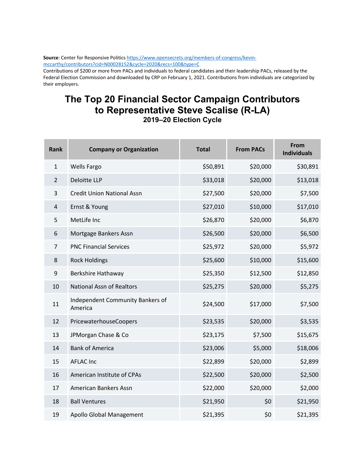**Source**: Center for Responsive Politics https://www.opensecrets.org/members-of-congress/kevinmccarthy/contributors?cid=N00028152&cycle=2020&recs=100&type=C

Contributions of \$200 or more from PACs and individuals to federal candidates and their leadership PACs, released by the Federal Election Commission and downloaded by CRP on February 1, 2021. Contributions from individuals are categorized by their employers.

# **The Top 20 Financial Sector Campaign Contributors to Representative Steve Scalise (R-LA)**

| <b>Rank</b>    | <b>Company or Organization</b>              | <b>Total</b> | <b>From PACs</b> | <b>From</b><br><b>Individuals</b> |
|----------------|---------------------------------------------|--------------|------------------|-----------------------------------|
| $\mathbf{1}$   | <b>Wells Fargo</b>                          | \$50,891     | \$20,000         | \$30,891                          |
| $\overline{2}$ | <b>Deloitte LLP</b>                         | \$33,018     | \$20,000         | \$13,018                          |
| 3              | <b>Credit Union National Assn</b>           | \$27,500     | \$20,000         | \$7,500                           |
| $\overline{4}$ | Ernst & Young                               | \$27,010     | \$10,000         | \$17,010                          |
| 5              | MetLife Inc                                 | \$26,870     | \$20,000         | \$6,870                           |
| 6              | Mortgage Bankers Assn                       | \$26,500     | \$20,000         | \$6,500                           |
| 7              | <b>PNC Financial Services</b>               | \$25,972     | \$20,000         | \$5,972                           |
| 8              | <b>Rock Holdings</b>                        | \$25,600     | \$10,000         | \$15,600                          |
| 9              | Berkshire Hathaway                          | \$25,350     | \$12,500         | \$12,850                          |
| 10             | <b>National Assn of Realtors</b>            | \$25,275     | \$20,000         | \$5,275                           |
| 11             | Independent Community Bankers of<br>America | \$24,500     | \$17,000         | \$7,500                           |
| 12             | PricewaterhouseCoopers                      | \$23,535     | \$20,000         | \$3,535                           |
| 13             | JPMorgan Chase & Co                         | \$23,175     | \$7,500          | \$15,675                          |
| 14             | <b>Bank of America</b>                      | \$23,006     | \$5,000          | \$18,006                          |
| 15             | <b>AFLAC Inc</b>                            | \$22,899     | \$20,000         | \$2,899                           |
| 16             | American Institute of CPAs                  | \$22,500     | \$20,000         | \$2,500                           |
| 17             | American Bankers Assn                       | \$22,000     | \$20,000         | \$2,000                           |
| 18             | <b>Ball Ventures</b>                        | \$21,950     | \$0              | \$21,950                          |
|                |                                             |              |                  |                                   |

Apollo Global Management \$21,395 \$0 \$21,395

**2019–20 Election Cycle**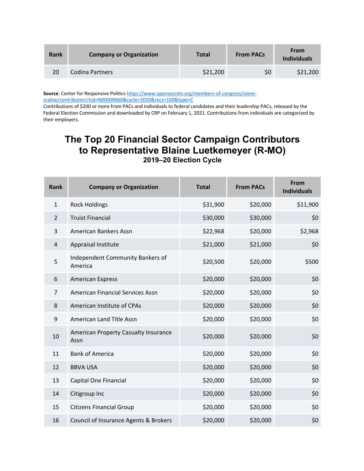| Rank | <b>Company or Organization</b> | <b>Total</b> | <b>From PACs</b> | <b>From</b><br><b>Individuals</b> |
|------|--------------------------------|--------------|------------------|-----------------------------------|
| 20   | Codina Partners                | \$21,200     | \$0              | \$21,200                          |

**Source**: Center for Responsive Politics https://www.opensecrets.org/members-of-congress/stevescalise/contributors?cid=N00009660&cycle=2020&recs=100&type=C

Contributions of \$200 or more from PACs and individuals to federal candidates and their leadership PACs, released by the Federal Election Commission and downloaded by CRP on February 1, 2021. Contributions from individuals are categorized by their employers.

### **The Top 20 Financial Sector Campaign Contributors to Representative Blaine Luetkemeyer (R-MO) 2019–20 Election Cycle**

| <b>Rank</b>    | <b>Company or Organization</b>               | <b>Total</b> | <b>From PACs</b> | From<br><b>Individuals</b> |
|----------------|----------------------------------------------|--------------|------------------|----------------------------|
| $\mathbf{1}$   | <b>Rock Holdings</b>                         | \$31,900     | \$20,000         | \$11,900                   |
| $\overline{2}$ | <b>Truist Financial</b>                      | \$30,000     | \$30,000         | \$0                        |
| 3              | <b>American Bankers Assn</b>                 | \$22,968     | \$20,000         | \$2,968                    |
| 4              | Appraisal Institute                          | \$21,000     | \$21,000         | \$0                        |
| 5              | Independent Community Bankers of<br>America  | \$20,500     | \$20,000         | \$500                      |
| 6              | <b>American Express</b>                      | \$20,000     | \$20,000         | \$0                        |
| $\overline{7}$ | American Financial Services Assn             | \$20,000     | \$20,000         | \$0                        |
| 8              | American Institute of CPAs                   | \$20,000     | \$20,000         | \$0                        |
| 9              | American Land Title Assn                     | \$20,000     | \$20,000         | \$0                        |
| 10             | American Property Casualty Insurance<br>Assn | \$20,000     | \$20,000         | \$0                        |
| 11             | <b>Bank of America</b>                       | \$20,000     | \$20,000         | \$0                        |
| 12             | <b>BBVA USA</b>                              | \$20,000     | \$20,000         | \$0                        |
| 13             | Capital One Financial                        | \$20,000     | \$20,000         | \$0                        |
| 14             | Citigroup Inc                                | \$20,000     | \$20,000         | \$0                        |
| 15             | <b>Citizens Financial Group</b>              | \$20,000     | \$20,000         | \$0                        |
| 16             | Council of Insurance Agents & Brokers        | \$20,000     | \$20,000         | \$0                        |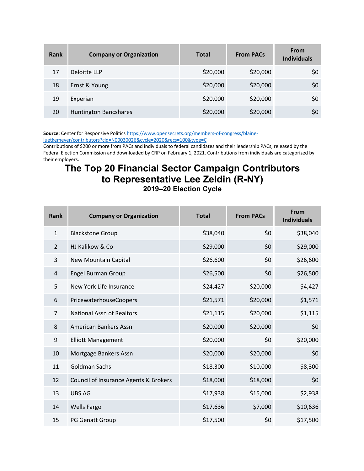| Rank | <b>Company or Organization</b> | <b>Total</b> | <b>From PACs</b> | <b>From</b><br><b>Individuals</b> |
|------|--------------------------------|--------------|------------------|-----------------------------------|
| 17   | Deloitte LLP                   | \$20,000     | \$20,000         | \$0                               |
| 18   | Ernst & Young                  | \$20,000     | \$20,000         | \$0                               |
| 19   | Experian                       | \$20,000     | \$20,000         | \$0                               |
| 20   | <b>Huntington Bancshares</b>   | \$20,000     | \$20,000         | \$0                               |

**Source**: Center for Responsive Politics https://www.opensecrets.org/members-of-congress/blaineluetkemeyer/contributors?cid=N00030026&cycle=2020&recs=100&type=C

Contributions of \$200 or more from PACs and individuals to federal candidates and their leadership PACs, released by the Federal Election Commission and downloaded by CRP on February 1, 2021. Contributions from individuals are categorized by their employers.

#### **The Top 20 Financial Sector Campaign Contributors to Representative Lee Zeldin (R-NY) 2019–20 Election Cycle**

| <b>Rank</b>    | <b>Company or Organization</b>        | <b>Total</b> | <b>From PACs</b> | <b>From</b><br><b>Individuals</b> |
|----------------|---------------------------------------|--------------|------------------|-----------------------------------|
| $\mathbf{1}$   | <b>Blackstone Group</b>               | \$38,040     | \$0              | \$38,040                          |
| $\overline{2}$ | HJ Kalikow & Co                       | \$29,000     | \$0              | \$29,000                          |
| 3              | New Mountain Capital                  | \$26,600     | \$0              | \$26,600                          |
| 4              | <b>Engel Burman Group</b>             | \$26,500     | \$0              | \$26,500                          |
| 5              | New York Life Insurance               | \$24,427     | \$20,000         | \$4,427                           |
| 6              | PricewaterhouseCoopers                | \$21,571     | \$20,000         | \$1,571                           |
| $\overline{7}$ | <b>National Assn of Realtors</b>      | \$21,115     | \$20,000         | \$1,115                           |
| 8              | American Bankers Assn                 | \$20,000     | \$20,000         | \$0                               |
| 9              | <b>Elliott Management</b>             | \$20,000     | \$0              | \$20,000                          |
| 10             | Mortgage Bankers Assn                 | \$20,000     | \$20,000         | \$0                               |
| 11             | <b>Goldman Sachs</b>                  | \$18,300     | \$10,000         | \$8,300                           |
| 12             | Council of Insurance Agents & Brokers | \$18,000     | \$18,000         | \$0                               |
| 13             | <b>UBS AG</b>                         | \$17,938     | \$15,000         | \$2,938                           |
| 14             | <b>Wells Fargo</b>                    | \$17,636     | \$7,000          | \$10,636                          |
| 15             | <b>PG Genatt Group</b>                | \$17,500     | \$0              | \$17,500                          |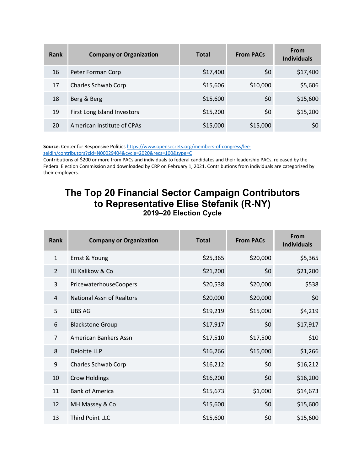| Rank | <b>Company or Organization</b> | <b>Total</b> | <b>From PACs</b> | From<br><b>Individuals</b> |
|------|--------------------------------|--------------|------------------|----------------------------|
| 16   | Peter Forman Corp              | \$17,400     | \$0              | \$17,400                   |
| 17   | Charles Schwab Corp            | \$15,606     | \$10,000         | \$5,606                    |
| 18   | Berg & Berg                    | \$15,600     | \$0              | \$15,600                   |
| 19   | First Long Island Investors    | \$15,200     | \$0              | \$15,200                   |
| 20   | American Institute of CPAs     | \$15,000     | \$15,000         | \$0                        |

Source: Center for Responsive Politics https://www.opensecrets.org/members-of-congress/lee-

zeldin/contributors?cid=N00029404&cycle=2020&recs=100&type=C

Contributions of \$200 or more from PACs and individuals to federal candidates and their leadership PACs, released by the Federal Election Commission and downloaded by CRP on February 1, 2021. Contributions from individuals are categorized by their employers.

#### **The Top 20 Financial Sector Campaign Contributors to Representative Elise Stefanik (R-NY) 2019–20 Election Cycle**

| Rank           | <b>Company or Organization</b>   | <b>Total</b> | <b>From PACs</b> | From<br><b>Individuals</b> |
|----------------|----------------------------------|--------------|------------------|----------------------------|
| $\mathbf{1}$   | Ernst & Young                    | \$25,365     | \$20,000         | \$5,365                    |
| 2              | HJ Kalikow & Co                  | \$21,200     | \$0              | \$21,200                   |
| 3              | PricewaterhouseCoopers           | \$20,538     | \$20,000         | \$538                      |
| 4              | <b>National Assn of Realtors</b> | \$20,000     | \$20,000         | \$0                        |
| 5              | <b>UBS AG</b>                    | \$19,219     | \$15,000         | \$4,219                    |
| 6              | <b>Blackstone Group</b>          | \$17,917     | \$0              | \$17,917                   |
| $\overline{7}$ | American Bankers Assn            | \$17,510     | \$17,500         | \$10                       |
| 8              | Deloitte LLP                     | \$16,266     | \$15,000         | \$1,266                    |
| 9              | Charles Schwab Corp              | \$16,212     | \$0              | \$16,212                   |
| 10             | <b>Crow Holdings</b>             | \$16,200     | \$0              | \$16,200                   |
| 11             | <b>Bank of America</b>           | \$15,673     | \$1,000          | \$14,673                   |
| 12             | MH Massey & Co                   | \$15,600     | \$0              | \$15,600                   |
| 13             | Third Point LLC                  | \$15,600     | \$0              | \$15,600                   |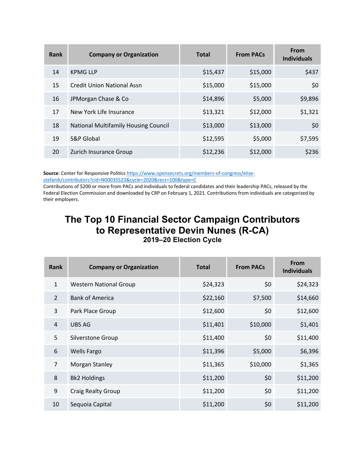| Rank | <b>Company or Organization</b>              | <b>Total</b> | <b>From PACs</b> | <b>From</b><br><b>Individuals</b> |
|------|---------------------------------------------|--------------|------------------|-----------------------------------|
| 14   | <b>KPMG LLP</b>                             | \$15,437     | \$15,000         | \$437                             |
| 15   | <b>Credit Union National Assn</b>           | \$15,000     | \$15,000         | \$0                               |
| 16   | JPMorgan Chase & Co                         | \$14,896     | \$5,000          | \$9,896                           |
| 17   | New York Life Insurance                     | \$13,321     | \$12,000         | \$1,321                           |
| 18   | <b>National Multifamily Housing Council</b> | \$13,000     | \$13,000         | \$0                               |
| 19   | S&P Global                                  | \$12,595     | \$5,000          | \$7,595                           |
| 20   | Zurich Insurance Group                      | \$12,236     | \$12,000         | \$236                             |

Source: Center for Responsive Politics https://www.opensecrets.org/members-of-congress/elisestefanik/contributors?cid=N00035523&cycle=2020&recs=100&type=C

Contributions of \$200 or more from PACs and individuals to federal candidates and their leadership PACs, released by the Federal Election Commission and downloaded by CRP on February 1, 2021. Contributions from individuals are categorized by their employers.

#### **The Top 10 Financial Sector Campaign Contributors to Representative Devin Nunes (R-CA) 2019–20 Election Cycle**

| Rank           | <b>Company or Organization</b> | <b>Total</b> | <b>From PACs</b> | From<br><b>Individuals</b> |
|----------------|--------------------------------|--------------|------------------|----------------------------|
| $\mathbf{1}$   | <b>Western National Group</b>  | \$24,323     | \$0              | \$24,323                   |
| $\mathcal{P}$  | <b>Bank of America</b>         | \$22,160     | \$7,500          | \$14,660                   |
| 3              | Park Place Group               | \$12,600     | \$0              | \$12,600                   |
| $\overline{4}$ | <b>UBS AG</b>                  | \$11,401     | \$10,000         | \$1,401                    |
| 5              | Silverstone Group              | \$11,400     | \$0              | \$11,400                   |
| 6              | <b>Wells Fargo</b>             | \$11,396     | \$5,000          | \$6,396                    |
| $\overline{7}$ | Morgan Stanley                 | \$11,365     | \$10,000         | \$1,365                    |
| 8              | <b>Bk2 Holdings</b>            | \$11,200     | \$0              | \$11,200                   |
| 9              | Craig Realty Group             | \$11,200     | \$0              | \$11,200                   |
| 10             | Sequoia Capital                | \$11,200     | \$0              | \$11,200                   |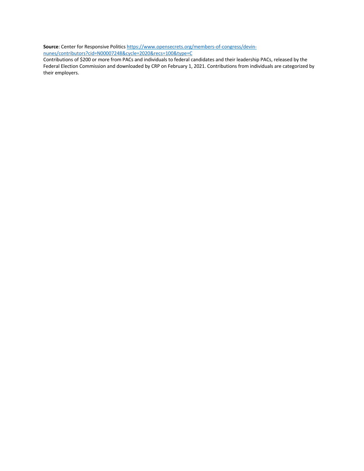**Source**: Center for Responsive Politics https://www.opensecrets.org/members-of-congress/devin-

nunes/contributors?cid=N00007248&cycle=2020&recs=100&type=C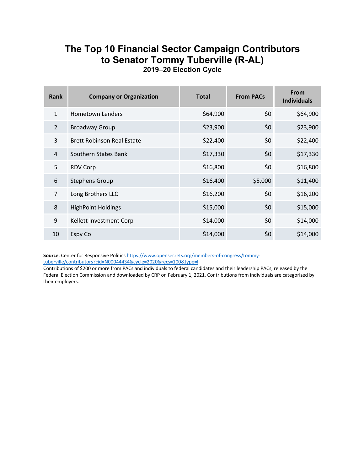#### **The Top 10 Financial Sector Campaign Contributors to Senator Tommy Tuberville (R-AL) 2019–20 Election Cycle**

| Rank           | <b>Company or Organization</b>    | <b>Total</b> | <b>From PACs</b> | <b>From</b><br><b>Individuals</b> |
|----------------|-----------------------------------|--------------|------------------|-----------------------------------|
| $\mathbf{1}$   | Hometown Lenders                  | \$64,900     | \$0              | \$64,900                          |
| $\overline{2}$ | <b>Broadway Group</b>             | \$23,900     | \$0              | \$23,900                          |
| 3              | <b>Brett Robinson Real Estate</b> | \$22,400     | \$0              | \$22,400                          |
| 4              | Southern States Bank              | \$17,330     | \$0              | \$17,330                          |
| 5              | <b>RDV Corp</b>                   | \$16,800     | \$0              | \$16,800                          |
| 6              | <b>Stephens Group</b>             | \$16,400     | \$5,000          | \$11,400                          |
| $\overline{7}$ | Long Brothers LLC                 | \$16,200     | \$0              | \$16,200                          |
| 8              | <b>HighPoint Holdings</b>         | \$15,000     | \$0              | \$15,000                          |
| 9              | Kellett Investment Corp           | \$14,000     | \$0              | \$14,000                          |
| 10             | Espy Co                           | \$14,000     | \$0              | \$14,000                          |

Source: Center for Responsive Politics https://www.opensecrets.org/members-of-congress/tommytuberville/contributors?cid=N00044434&cycle=2020&recs=100&type=I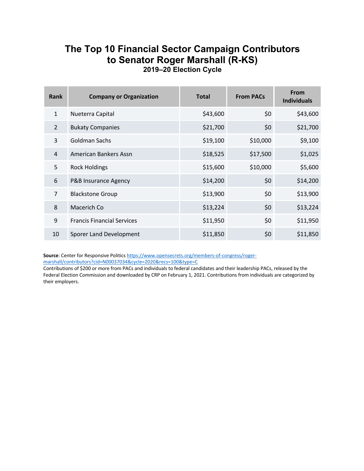#### **The Top 10 Financial Sector Campaign Contributors to Senator Roger Marshall (R-KS) 2019–20 Election Cycle**

| <b>Rank</b>    | <b>Company or Organization</b>    | <b>Total</b> | <b>From PACs</b> | From<br><b>Individuals</b> |
|----------------|-----------------------------------|--------------|------------------|----------------------------|
| $\mathbf{1}$   | Nueterra Capital                  | \$43,600     | \$0              | \$43,600                   |
| $\mathcal{L}$  | <b>Bukaty Companies</b>           | \$21,700     | \$0              | \$21,700                   |
| 3              | Goldman Sachs                     | \$19,100     | \$10,000         | \$9,100                    |
| 4              | American Bankers Assn             | \$18,525     | \$17,500         | \$1,025                    |
| 5              | <b>Rock Holdings</b>              | \$15,600     | \$10,000         | \$5,600                    |
| 6              | P&B Insurance Agency              | \$14,200     | \$0              | \$14,200                   |
| $\overline{7}$ | <b>Blackstone Group</b>           | \$13,900     | \$0              | \$13,900                   |
| 8              | Macerich Co                       | \$13,224     | \$0              | \$13,224                   |
| 9              | <b>Francis Financial Services</b> | \$11,950     | \$0              | \$11,950                   |
| 10             | Sporer Land Development           | \$11,850     | \$0              | \$11,850                   |

Source: Center for Responsive Politics https://www.opensecrets.org/members-of-congress/rogermarshall/contributors?cid=N00037034&cycle=2020&recs=100&type=C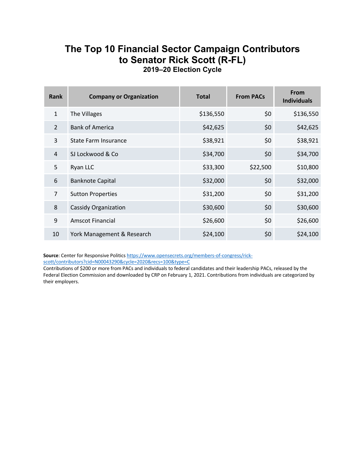#### **The Top 10 Financial Sector Campaign Contributors to Senator Rick Scott (R-FL) 2019–20 Election Cycle**

| <b>Rank</b>    | <b>Company or Organization</b> | <b>Total</b> | <b>From PACs</b> | <b>From</b><br><b>Individuals</b> |
|----------------|--------------------------------|--------------|------------------|-----------------------------------|
| $\mathbf{1}$   | The Villages                   | \$136,550    | \$0              | \$136,550                         |
| $\overline{2}$ | <b>Bank of America</b>         | \$42,625     | \$0              | \$42,625                          |
| 3              | <b>State Farm Insurance</b>    | \$38,921     | \$0              | \$38,921                          |
| 4              | SJ Lockwood & Co               | \$34,700     | \$0              | \$34,700                          |
| 5              | Ryan LLC                       | \$33,300     | \$22,500         | \$10,800                          |
| 6              | <b>Banknote Capital</b>        | \$32,000     | \$0              | \$32,000                          |
| $\overline{7}$ | <b>Sutton Properties</b>       | \$31,200     | \$0              | \$31,200                          |
| 8              | <b>Cassidy Organization</b>    | \$30,600     | \$0              | \$30,600                          |
| 9              | <b>Amscot Financial</b>        | \$26,600     | \$0              | \$26,600                          |
| 10             | York Management & Research     | \$24,100     | \$0              | \$24,100                          |

Source: Center for Responsive Politics https://www.opensecrets.org/members-of-congress/rickscott/contributors?cid=N00043290&cycle=2020&recs=100&type=C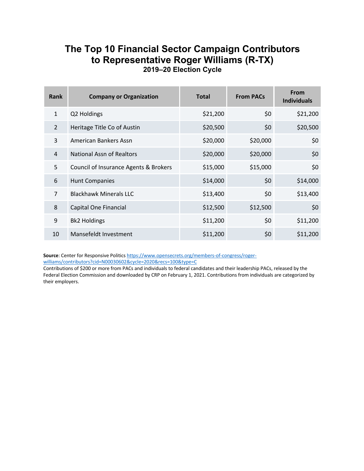#### **The Top 10 Financial Sector Campaign Contributors to Representative Roger Williams (R-TX) 2019–20 Election Cycle**

| Rank           | <b>Company or Organization</b>        | <b>Total</b> | <b>From PACs</b> | <b>From</b><br><b>Individuals</b> |
|----------------|---------------------------------------|--------------|------------------|-----------------------------------|
| $\mathbf{1}$   | Q2 Holdings                           | \$21,200     | \$0              | \$21,200                          |
| $\mathfrak{D}$ | Heritage Title Co of Austin           | \$20,500     | \$0              | \$20,500                          |
| 3              | American Bankers Assn                 | \$20,000     | \$20,000         | \$0                               |
| 4              | National Assn of Realtors             | \$20,000     | \$20,000         | \$0                               |
| 5              | Council of Insurance Agents & Brokers | \$15,000     | \$15,000         | \$0                               |
| 6              | <b>Hunt Companies</b>                 | \$14,000     | \$0              | \$14,000                          |
| $\overline{7}$ | <b>Blackhawk Minerals LLC</b>         | \$13,400     | \$0              | \$13,400                          |
| 8              | Capital One Financial                 | \$12,500     | \$12,500         | \$0                               |
| 9              | <b>Bk2 Holdings</b>                   | \$11,200     | \$0              | \$11,200                          |
| 10             | Mansefeldt Investment                 | \$11,200     | \$0              | \$11,200                          |

Source: Center for Responsive Politics https://www.opensecrets.org/members-of-congress/rogerwilliams/contributors?cid=N00030602&cycle=2020&recs=100&type=C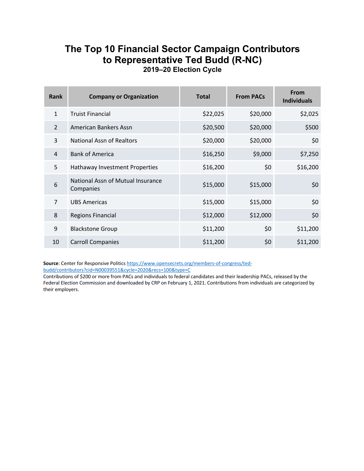#### **The Top 10 Financial Sector Campaign Contributors to Representative Ted Budd (R-NC) 2019–20 Election Cycle**

| Rank           | <b>Company or Organization</b>                 | <b>Total</b> | <b>From PACs</b> | <b>From</b><br><b>Individuals</b> |
|----------------|------------------------------------------------|--------------|------------------|-----------------------------------|
| $\mathbf{1}$   | <b>Truist Financial</b>                        | \$22,025     | \$20,000         | \$2,025                           |
| $\overline{2}$ | American Bankers Assn                          | \$20,500     | \$20,000         | \$500                             |
| 3              | <b>National Assn of Realtors</b>               | \$20,000     | \$20,000         | \$0                               |
| 4              | <b>Bank of America</b>                         | \$16,250     | \$9,000          | \$7,250                           |
| 5              | Hathaway Investment Properties                 | \$16,200     | \$0              | \$16,200                          |
| 6              | National Assn of Mutual Insurance<br>Companies | \$15,000     | \$15,000         | \$0                               |
| $\overline{7}$ | <b>UBS Americas</b>                            | \$15,000     | \$15,000         | \$0                               |
| 8              | <b>Regions Financial</b>                       | \$12,000     | \$12,000         | \$0                               |
| 9              | <b>Blackstone Group</b>                        | \$11,200     | \$0              | \$11,200                          |
| 10             | <b>Carroll Companies</b>                       | \$11,200     | \$0              | \$11,200                          |

**Source**: Center for Responsive Politics https://www.opensecrets.org/members-of-congress/tedbudd/contributors?cid=N00039551&cycle=2020&recs=100&type=C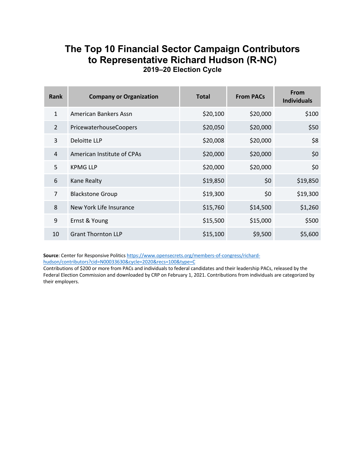#### **The Top 10 Financial Sector Campaign Contributors to Representative Richard Hudson (R-NC) 2019–20 Election Cycle**

| Rank           | <b>Company or Organization</b> | <b>Total</b> | <b>From PACs</b> | <b>From</b><br><b>Individuals</b> |
|----------------|--------------------------------|--------------|------------------|-----------------------------------|
| $\mathbf{1}$   | American Bankers Assn          | \$20,100     | \$20,000         | \$100                             |
| $\mathcal{L}$  | PricewaterhouseCoopers         | \$20,050     | \$20,000         | \$50                              |
| 3              | Deloitte LLP                   | \$20,008     | \$20,000         | \$8                               |
| 4              | American Institute of CPAs     | \$20,000     | \$20,000         | \$0                               |
| 5              | <b>KPMG LLP</b>                | \$20,000     | \$20,000         | \$0                               |
| 6              | Kane Realty                    | \$19,850     | \$0              | \$19,850                          |
| $\overline{7}$ | <b>Blackstone Group</b>        | \$19,300     | \$0              | \$19,300                          |
| 8              | New York Life Insurance        | \$15,760     | \$14,500         | \$1,260                           |
| 9              | Ernst & Young                  | \$15,500     | \$15,000         | \$500                             |
| 10             | <b>Grant Thornton LLP</b>      | \$15,100     | \$9,500          | \$5,600                           |

**Source**: Center for Responsive Politics https://www.opensecrets.org/members-of-congress/richardhudson/contributors?cid=N00033630&cycle=2020&recs=100&type=C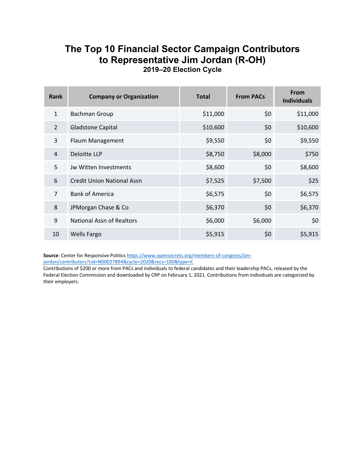#### **The Top 10 Financial Sector Campaign Contributors to Representative Jim Jordan (R-OH) 2019–20 Election Cycle**

| Rank           | <b>Company or Organization</b>    | <b>Total</b> | <b>From PACs</b> | From<br><b>Individuals</b> |
|----------------|-----------------------------------|--------------|------------------|----------------------------|
| $\mathbf{1}$   | <b>Bachman Group</b>              | \$11,000     | \$0              | \$11,000                   |
| $\overline{2}$ | <b>Gladstone Capital</b>          | \$10,600     | \$0              | \$10,600                   |
| 3              | Flaum Management                  | \$9,550      | \$0              | \$9,550                    |
| 4              | Deloitte LLP                      | \$8,750      | \$8,000          | \$750                      |
| 5              | Jw Witten Investments             | \$8,600      | \$0              | \$8,600                    |
| 6              | <b>Credit Union National Assn</b> | \$7,525      | \$7,500          | \$25                       |
| $\overline{7}$ | <b>Bank of America</b>            | \$6,575      | \$0              | \$6,575                    |
| 8              | JPMorgan Chase & Co               | \$6,370      | \$0              | \$6,370                    |
| 9              | <b>National Assn of Realtors</b>  | \$6,000      | \$6,000          | \$0                        |
| 10             | <b>Wells Fargo</b>                | \$5,915      | \$0              | \$5,915                    |

Source: Center for Responsive Politics https://www.opensecrets.org/members-of-congress/jimjordan/contributors?cid=N00027894&cycle=2020&recs=100&type=C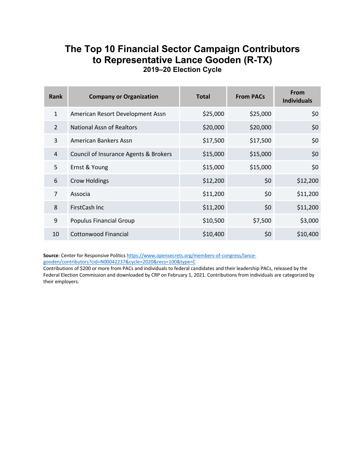#### **The Top 10 Financial Sector Campaign Contributors to Representative Lance Gooden (R-TX) 2019–20 Election Cycle**

| Rank           | <b>Company or Organization</b>        | <b>Total</b> | <b>From PACs</b> | <b>From</b><br><b>Individuals</b> |
|----------------|---------------------------------------|--------------|------------------|-----------------------------------|
| $\mathbf{1}$   | American Resort Development Assn      | \$25,000     | \$25,000         | \$0                               |
| $\mathcal{P}$  | National Assn of Realtors             | \$20,000     | \$20,000         | \$0                               |
| 3              | American Bankers Assn                 | \$17,500     | \$17,500         | \$0                               |
| 4              | Council of Insurance Agents & Brokers | \$15,000     | \$15,000         | \$0                               |
| 5              | Ernst & Young                         | \$15,000     | \$15,000         | \$0                               |
| 6              | <b>Crow Holdings</b>                  | \$12,200     | \$0              | \$12,200                          |
| $\overline{7}$ | Associa                               | \$11,200     | \$0              | \$11,200                          |
| 8              | FirstCash Inc                         | \$11,200     | \$0              | \$11,200                          |
| 9              | Populus Financial Group               | \$10,500     | \$7,500          | \$3,000                           |
| 10             | Cottonwood Financial                  | \$10,400     | \$0              | \$10,400                          |

Source: Center for Responsive Politics https://www.opensecrets.org/members-of-congress/lancegooden/contributors?cid=N00042237&cycle=2020&recs=100&type=C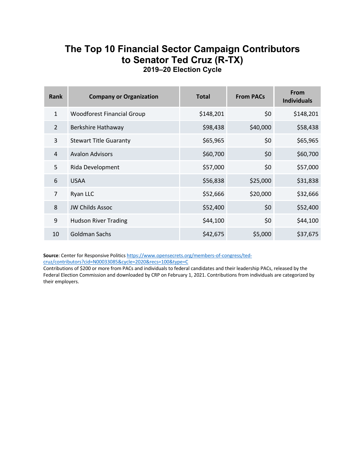#### **The Top 10 Financial Sector Campaign Contributors to Senator Ted Cruz (R-TX) 2019–20 Election Cycle**

| Rank           | <b>Company or Organization</b>    | <b>Total</b> | <b>From PACs</b> | From<br><b>Individuals</b> |
|----------------|-----------------------------------|--------------|------------------|----------------------------|
| $\mathbf{1}$   | <b>Woodforest Financial Group</b> | \$148,201    | \$0              | \$148,201                  |
| $\mathcal{L}$  | Berkshire Hathaway                | \$98,438     | \$40,000         | \$58,438                   |
| 3              | <b>Stewart Title Guaranty</b>     | \$65,965     | \$0              | \$65,965                   |
| 4              | <b>Avalon Advisors</b>            | \$60,700     | \$0              | \$60,700                   |
| 5              | Rida Development                  | \$57,000     | \$0              | \$57,000                   |
| 6              | <b>USAA</b>                       | \$56,838     | \$25,000         | \$31,838                   |
| $\overline{7}$ | Ryan LLC                          | \$52,666     | \$20,000         | \$32,666                   |
| 8              | <b>JW Childs Assoc</b>            | \$52,400     | \$0              | \$52,400                   |
| 9              | <b>Hudson River Trading</b>       | \$44,100     | \$0              | \$44,100                   |
| 10             | Goldman Sachs                     | \$42,675     | \$5,000          | \$37,675                   |

Source: Center for Responsive Politics https://www.opensecrets.org/members-of-congress/ted-

cruz/contributors?cid=N00033085&cycle=2020&recs=100&type=C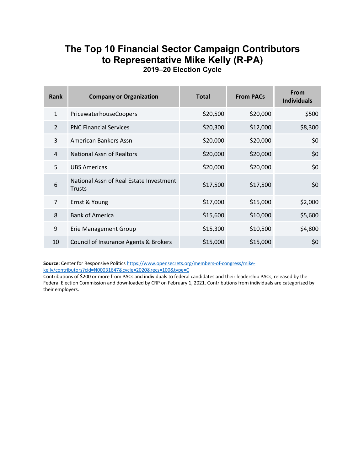#### **The Top 10 Financial Sector Campaign Contributors to Representative Mike Kelly (R-PA) 2019–20 Election Cycle**

| Rank           | <b>Company or Organization</b>                           | <b>Total</b> | <b>From PACs</b> | <b>From</b><br><b>Individuals</b> |
|----------------|----------------------------------------------------------|--------------|------------------|-----------------------------------|
| $\mathbf{1}$   | PricewaterhouseCoopers                                   | \$20,500     | \$20,000         | \$500                             |
| $\overline{2}$ | <b>PNC Financial Services</b>                            | \$20,300     | \$12,000         | \$8,300                           |
| 3              | American Bankers Assn                                    | \$20,000     | \$20,000         | \$0                               |
| 4              | <b>National Assn of Realtors</b>                         | \$20,000     | \$20,000         | \$0                               |
| 5              | <b>UBS Americas</b>                                      | \$20,000     | \$20,000         | \$0                               |
| 6              | National Assn of Real Estate Investment<br><b>Trusts</b> | \$17,500     | \$17,500         | \$0                               |
| $\overline{7}$ | Ernst & Young                                            | \$17,000     | \$15,000         | \$2,000                           |
| 8              | <b>Bank of America</b>                                   | \$15,600     | \$10,000         | \$5,600                           |
| 9              | <b>Erie Management Group</b>                             | \$15,300     | \$10,500         | \$4,800                           |
| 10             | Council of Insurance Agents & Brokers                    | \$15,000     | \$15,000         | \$0                               |

**Source**: Center for Responsive Politics https://www.opensecrets.org/members-of-congress/mikekelly/contributors?cid=N00031647&cycle=2020&recs=100&type=C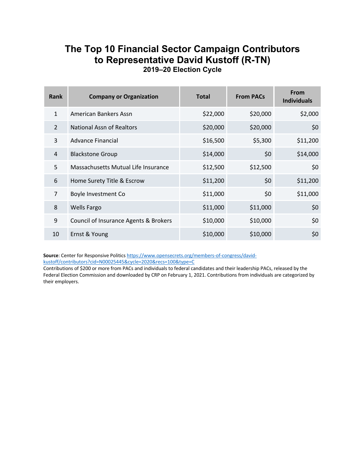#### **The Top 10 Financial Sector Campaign Contributors to Representative David Kustoff (R-TN) 2019–20 Election Cycle**

| Rank           | <b>Company or Organization</b>        | <b>Total</b> | <b>From PACs</b> | <b>From</b><br><b>Individuals</b> |
|----------------|---------------------------------------|--------------|------------------|-----------------------------------|
| $\mathbf{1}$   | American Bankers Assn                 | \$22,000     | \$20,000         | \$2,000                           |
| $\overline{2}$ | National Assn of Realtors             | \$20,000     | \$20,000         | \$0                               |
| 3              | Advance Financial                     | \$16,500     | \$5,300          | \$11,200                          |
| 4              | <b>Blackstone Group</b>               | \$14,000     | \$0              | \$14,000                          |
| 5              | Massachusetts Mutual Life Insurance   | \$12,500     | \$12,500         | \$0                               |
| 6              | Home Surety Title & Escrow            | \$11,200     | \$0              | \$11,200                          |
| $\overline{7}$ | Boyle Investment Co                   | \$11,000     | \$0              | \$11,000                          |
| 8              | <b>Wells Fargo</b>                    | \$11,000     | \$11,000         | \$0                               |
| 9              | Council of Insurance Agents & Brokers | \$10,000     | \$10,000         | \$0                               |
| 10             | Ernst & Young                         | \$10,000     | \$10,000         | \$0                               |

Source: Center for Responsive Politics https://www.opensecrets.org/members-of-congress/davidkustoff/contributors?cid=N00025445&cycle=2020&recs=100&type=C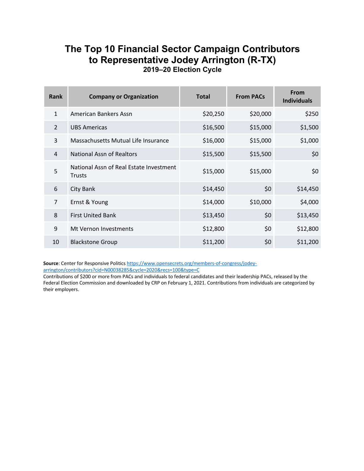#### **The Top 10 Financial Sector Campaign Contributors to Representative Jodey Arrington (R-TX) 2019–20 Election Cycle**

| Rank           | <b>Company or Organization</b>                    | <b>Total</b> | <b>From PACs</b> | <b>From</b><br><b>Individuals</b> |
|----------------|---------------------------------------------------|--------------|------------------|-----------------------------------|
| $\mathbf{1}$   | American Bankers Assn                             | \$20,250     | \$20,000         | \$250                             |
| $\overline{2}$ | <b>UBS Americas</b>                               | \$16,500     | \$15,000         | \$1,500                           |
| 3              | Massachusetts Mutual Life Insurance               | \$16,000     | \$15,000         | \$1,000                           |
| $\overline{4}$ | <b>National Assn of Realtors</b>                  | \$15,500     | \$15,500         | \$0                               |
| 5              | National Assn of Real Estate Investment<br>Trusts | \$15,000     | \$15,000         | \$0                               |
| 6              | City Bank                                         | \$14,450     | \$0              | \$14,450                          |
| $\overline{7}$ | Ernst & Young                                     | \$14,000     | \$10,000         | \$4,000                           |
| 8              | <b>First United Bank</b>                          | \$13,450     | \$0              | \$13,450                          |
| 9              | Mt Vernon Investments                             | \$12,800     | \$0              | \$12,800                          |
| 10             | <b>Blackstone Group</b>                           | \$11,200     | \$0              | \$11,200                          |

**Source**: Center for Responsive Politics https://www.opensecrets.org/members-of-congress/jodeyarrington/contributors?cid=N00038285&cycle=2020&recs=100&type=C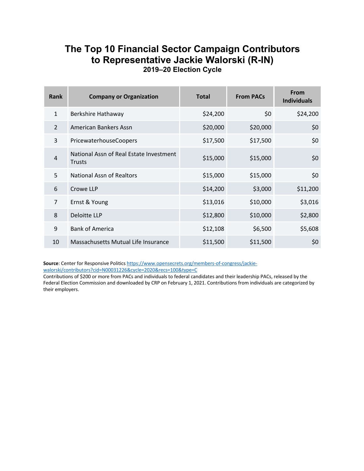#### **The Top 10 Financial Sector Campaign Contributors to Representative Jackie Walorski (R-IN) 2019–20 Election Cycle**

| Rank           | <b>Company or Organization</b>                           | <b>Total</b> | <b>From PACs</b> | <b>From</b><br><b>Individuals</b> |
|----------------|----------------------------------------------------------|--------------|------------------|-----------------------------------|
| $\mathbf{1}$   | Berkshire Hathaway                                       | \$24,200     | \$0              | \$24,200                          |
| $\mathcal{P}$  | American Bankers Assn                                    | \$20,000     | \$20,000         | \$0                               |
| 3              | PricewaterhouseCoopers                                   | \$17,500     | \$17,500         | \$0                               |
| $\overline{4}$ | National Assn of Real Estate Investment<br><b>Trusts</b> | \$15,000     | \$15,000         | \$0                               |
| 5              | <b>National Assn of Realtors</b>                         | \$15,000     | \$15,000         | \$0                               |
| 6              | Crowe LLP                                                | \$14,200     | \$3,000          | \$11,200                          |
| $\overline{7}$ | Ernst & Young                                            | \$13,016     | \$10,000         | \$3,016                           |
| 8              | Deloitte LLP                                             | \$12,800     | \$10,000         | \$2,800                           |
| 9              | <b>Bank of America</b>                                   | \$12,108     | \$6,500          | \$5,608                           |
| 10             | Massachusetts Mutual Life Insurance                      | \$11,500     | \$11,500         | \$0                               |

**Source**: Center for Responsive Politics https://www.opensecrets.org/members-of-congress/jackiewalorski/contributors?cid=N00031226&cycle=2020&recs=100&type=C